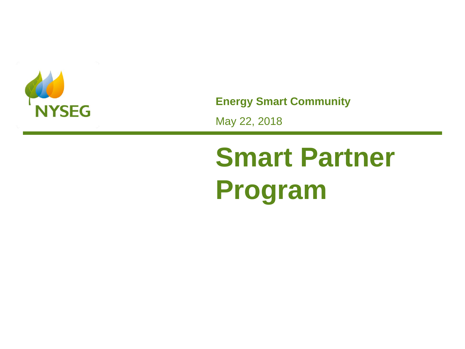

**Energy Smart Community**

May 22, 2018

# **Smart Partner Program**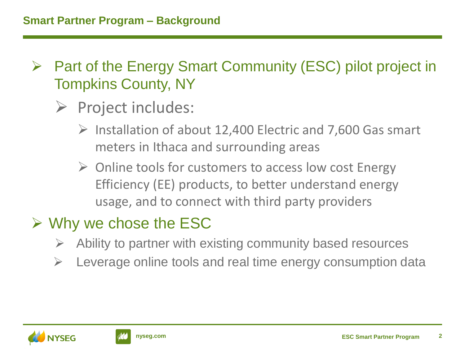- ➢ Part of the Energy Smart Community (ESC) pilot project in Tompkins County, NY
	- ➢ Project includes:
		- $\triangleright$  Installation of about 12,400 Electric and 7,600 Gas smart meters in Ithaca and surrounding areas
		- ➢ Online tools for customers to access low cost Energy Efficiency (EE) products, to better understand energy usage, and to connect with third party providers

## $\triangleright$  Why we chose the ESC

- ➢ Ability to partner with existing community based resources
- ➢ Leverage online tools and real time energy consumption data



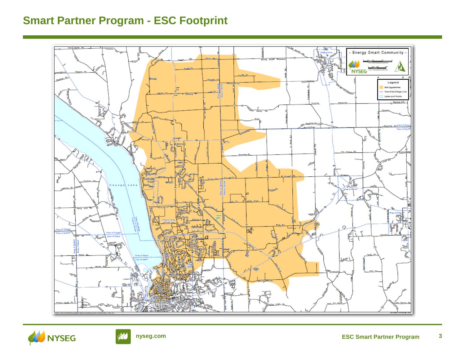#### **Smart Partner Program - ESC Footprint**





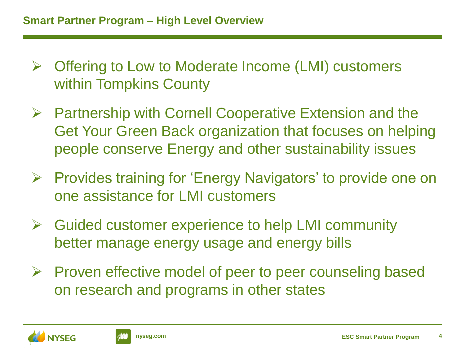- ➢ Offering to Low to Moderate Income (LMI) customers within Tompkins County
- ➢ Partnership with Cornell Cooperative Extension and the Get Your Green Back organization that focuses on helping people conserve Energy and other sustainability issues
- ➢ Provides training for 'Energy Navigators' to provide one on one assistance for LMI customers
- $\triangleright$  Guided customer experience to help LMI community better manage energy usage and energy bills
- ➢ Proven effective model of peer to peer counseling based on research and programs in other states



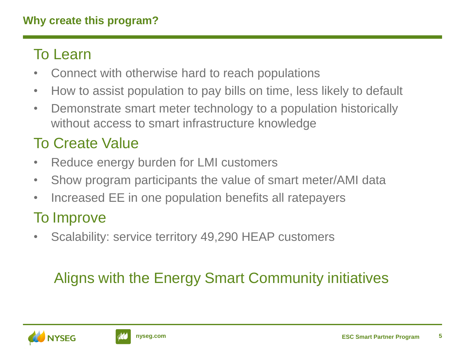#### **Why create this program?**

#### To Learn

- Connect with otherwise hard to reach populations
- How to assist population to pay bills on time, less likely to default
- Demonstrate smart meter technology to a population historically without access to smart infrastructure knowledge

## To Create Value

- Reduce energy burden for LMI customers
- Show program participants the value of smart meter/AMI data
- Increased EE in one population benefits all ratepayers

### To Improve

• Scalability: service territory 49,290 HEAP customers

## Aligns with the Energy Smart Community initiatives



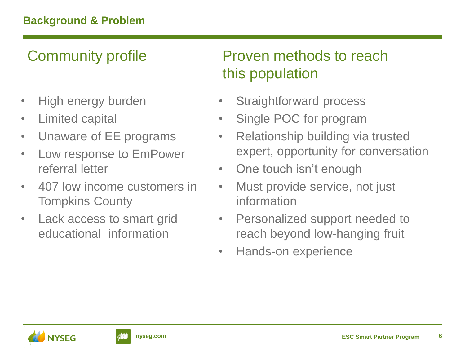## Community profile

- High energy burden
- Limited capital
- Unaware of EE programs
- Low response to EmPower referral letter
- 407 low income customers in Tompkins County
- Lack access to smart grid educational information

## Proven methods to reach this population

- Straightforward process
- Single POC for program
- Relationship building via trusted expert, opportunity for conversation
- One touch isn't enough
- Must provide service, not just information
- Personalized support needed to reach beyond low-hanging fruit
- Hands-on experience



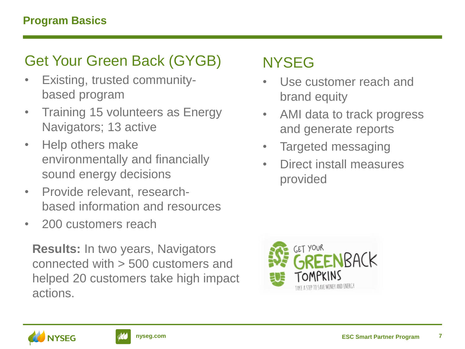#### Get Your Green Back (GYGB)

- Existing, trusted communitybased program
- Training 15 volunteers as Energy Navigators; 13 active
- Help others make environmentally and financially sound energy decisions
- Provide relevant, researchbased information and resources
- 200 customers reach

**Results:** In two years, Navigators connected with > 500 customers and helped 20 customers take high impact actions.

### NYSEG

- Use customer reach and brand equity
- AMI data to track progress and generate reports
- Targeted messaging
- Direct install measures provided





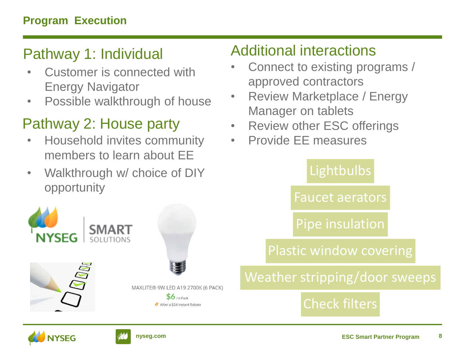### Pathway 1: Individual

- Customer is connected with Energy Navigator
- Possible walkthrough of house

### Pathway 2: House party

- Household invites community members to learn about EE
- Walkthrough w/ choice of DIY opportunity



## Additional interactions

- Connect to existing programs / approved contractors
- Review Marketplace / Energy Manager on tablets
- Review other ESC offerings
- Provide EE measures

#### **Lightbulbs**

Faucet aerators

Pipe insulation

Plastic window covering

## Weather stripping/door sweeps

#### Check filters



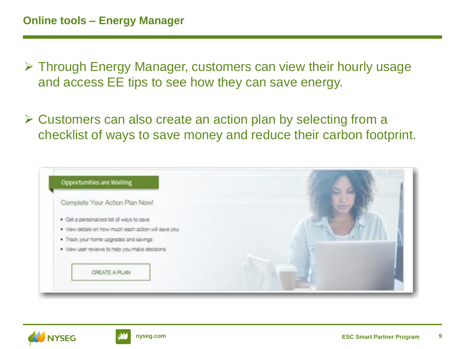- ➢ Through Energy Manager, customers can view their hourly usage and access EE tips to see how they can save energy.
- ➢ Customers can also create an action plan by selecting from a checklist of ways to save money and reduce their carbon footprint.

| <b>Opportunities are Waiting</b>                     |  |
|------------------------------------------------------|--|
| Complete Your Action Plan Now!                       |  |
| · Oct a personalized list of ways to save            |  |
| . Vew details on how much each action will save you. |  |
| · Tradit your home upgrades and savings              |  |
| . View user reviews to help you make decisions.      |  |
|                                                      |  |
| CREATE A PLAN                                        |  |
|                                                      |  |



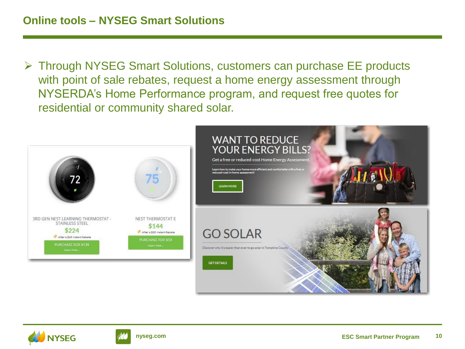➢ Through NYSEG Smart Solutions, customers can purchase EE products with point of sale rebates, request a home energy assessment through NYSERDA's Home Performance program, and request free quotes for residential or community shared solar.





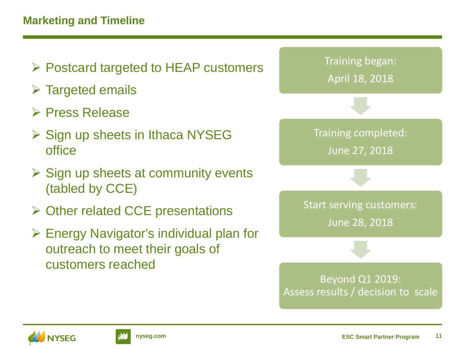#### **Marketing and Timeline**



- $\triangleright$  Targeted emails
- ➢ Press Release
- ➢ Sign up sheets in Ithaca NYSEG office
- $\triangleright$  Sign up sheets at community events (tabled by CCE)
- ➢ Other related CCE presentations
- ➢ Energy Navigator's individual plan for outreach to meet their goals of customers reached





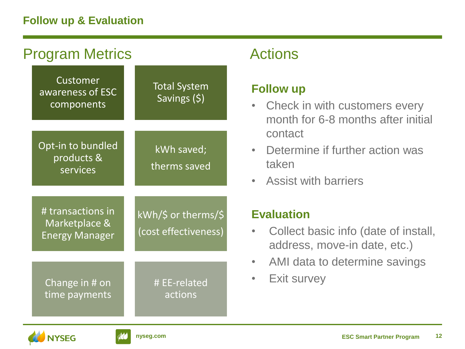#### **Follow up & Evaluation**

| <b>Program Metrics</b>                                      |                                             |  |
|-------------------------------------------------------------|---------------------------------------------|--|
| Customer<br>awareness of ESC<br>components                  | <b>Total System</b><br>Savings (\$)         |  |
| Opt-in to bundled<br>products &<br>services                 | kWh saved;<br>therms saved                  |  |
| # transactions in<br>Marketplace &<br><b>Energy Manager</b> | kWh/\$ or therms/\$<br>(cost effectiveness) |  |
| Change in # on<br>time payments                             | # EE-related<br>actions                     |  |

#### **Actions**

#### **Follow up**

- Check in with customers every month for 6-8 months after initial contact
- Determine if further action was taken
- Assist with barriers

#### **Evaluation**

- Collect basic info (date of install, address, move-in date, etc.)
- AMI data to determine savings
- **Exit survey**